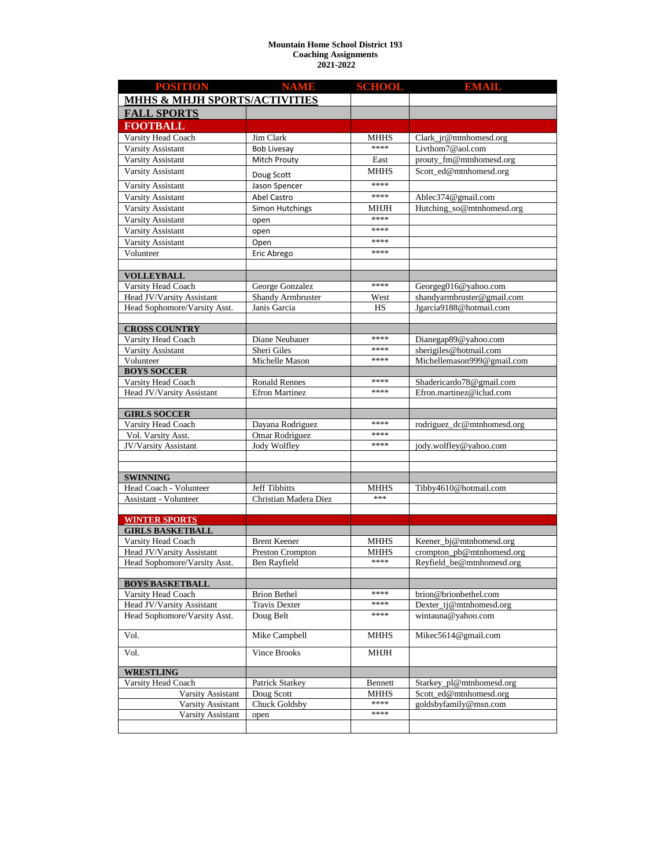## **Mountain Home School District 193 Coaching Assignments 2021-2022**

| <b>POSITION</b>                                           | <b>NAME</b>                                   | <b>SCHOOL</b>       | <b>EMAIL</b>                                           |  |
|-----------------------------------------------------------|-----------------------------------------------|---------------------|--------------------------------------------------------|--|
| <b>MHHS &amp; MHJH SPORTS/ACTIVITIES</b>                  |                                               |                     |                                                        |  |
| <b>FALL SPORTS</b>                                        |                                               |                     |                                                        |  |
| <b>FOOTBALL</b>                                           |                                               |                     |                                                        |  |
| Varsity Head Coach                                        | Jim Clark                                     | <b>MHHS</b>         | Clark_jr@mtnhomesd.org                                 |  |
| <b>Varsity Assistant</b>                                  | <b>Bob Livesay</b>                            | ****                | Livthom $7@$ aol.com                                   |  |
| Varsity Assistant                                         | Mitch Prouty                                  | East                | prouty_fm@mtnhomesd.org                                |  |
| Varsity Assistant                                         | Doug Scott                                    | MHHS                | Scott_ed@mtnhomesd.org                                 |  |
| Varsity Assistant                                         | Jason Spencer                                 | ****                |                                                        |  |
| Varsity Assistant                                         | Abel Castro                                   | ****                | Ablec374@gmail.com                                     |  |
| Varsity Assistant                                         | <b>Simon Hutchings</b>                        | MHJH                | Hutching_so@mtnhomesd.org                              |  |
| Varsity Assistant                                         | open                                          | ****                |                                                        |  |
| Varsity Assistant                                         | open                                          | ****                |                                                        |  |
| Varsity Assistant                                         | Open                                          | ****                |                                                        |  |
| Volunteer                                                 | Eric Abrego                                   | ****                |                                                        |  |
|                                                           |                                               |                     |                                                        |  |
| <b>VOLLEYBALL</b><br>Varsity Head Coach                   | George Gonzalez                               | ****                | Georgeg016@yahoo.com                                   |  |
| Head JV/Varsity Assistant                                 | Shandy Armbruster                             | West                | shandyarmbruster@gmail.com                             |  |
| Head Sophomore/Varsity Asst.                              | Janis Garcia                                  | <b>HS</b>           | Jgarcia9188@hotmail.com                                |  |
|                                                           |                                               |                     |                                                        |  |
| <b>CROSS COUNTRY</b>                                      |                                               |                     |                                                        |  |
| Varsity Head Coach                                        | Diane Neubauer                                | ****                | Dianegap89@yahoo.com                                   |  |
| Varsity Assistant                                         | Sheri Giles                                   | ****                | sherigiles@hotmail.com                                 |  |
| Volunteer                                                 | Michelle Mason                                | ****                | Michellemason999@gmail.com                             |  |
| <b>BOYS SOCCER</b>                                        |                                               | ****                |                                                        |  |
| Varsity Head Coach<br>Head JV/Varsity Assistant           | <b>Ronald Rennes</b><br><b>Efron Martinez</b> | ****                | Shadericardo78@gmail.com<br>Efron.martinez@iclud.com   |  |
|                                                           |                                               |                     |                                                        |  |
| <b>GIRLS SOCCER</b>                                       |                                               |                     |                                                        |  |
| Varsity Head Coach                                        | Dayana Rodriguez                              | ****                | rodriguez_dc@mtnhomesd.org                             |  |
| Vol. Varsity Asst.                                        | Omar Rodriguez                                | ****                |                                                        |  |
| JV/Varsity Assistant                                      | Jody Wolfley                                  | ****                | jody.wolfley@yahoo.com                                 |  |
|                                                           |                                               |                     |                                                        |  |
| <b>SWINNING</b>                                           |                                               |                     |                                                        |  |
| Head Coach - Volunteer                                    | Jeff Tibbitts                                 | <b>MHHS</b>         | Tibby4610@hotmail.com                                  |  |
| Assistant - Volunteer                                     | Christian Madera Diez                         | ***                 |                                                        |  |
|                                                           |                                               |                     |                                                        |  |
| <b>WINTER SPORTS</b>                                      |                                               |                     |                                                        |  |
| <b>GIRLS BASKETBALL</b>                                   |                                               |                     |                                                        |  |
| Varsity Head Coach                                        | <b>Brent Keener</b>                           | <b>MHHS</b>         | Keener_bj@mtnhomesd.org                                |  |
| Head JV/Varsity Assistant<br>Head Sophomore/Varsity Asst. | Preston Crompton<br>Ben Rayfield              | <b>MHHS</b><br>**** | crompton_pb@mtnhomesd.org<br>Reyfield_be@mtnhomesd.org |  |
|                                                           |                                               |                     |                                                        |  |
| <b>BOYS BASKETBALL</b>                                    |                                               |                     |                                                        |  |
| Varsity Head Coach                                        | <b>Brion Bethel</b>                           | ****                | brion@brionbethel.com                                  |  |
| Head JV/Varsity Assistant                                 | <b>Travis Dexter</b>                          | ****                | Dexter_tj@mtnhomesd.org                                |  |
| Head Sophomore/Varsity Asst.                              | Doug Belt                                     | ****                | wintauna@yahoo.com                                     |  |
| Vol.                                                      | Mike Campbell                                 | <b>MHHS</b>         | Mikec5614@gmail.com                                    |  |
| Vol.                                                      | Vince Brooks                                  | <b>MHJH</b>         |                                                        |  |
| <b>WRESTLING</b>                                          |                                               |                     |                                                        |  |
| Varsity Head Coach                                        | Patrick Starkey                               | Bennett             | Starkey_pl@mtnhomesd.org                               |  |
| Varsity Assistant                                         | Doug Scott                                    | MHHS                | Scott_ed@mtnhomesd.org                                 |  |
| Varsity Assistant                                         | Chuck Goldsby                                 | ****                | goldsbyfamily@msn.com                                  |  |
| Varsity Assistant                                         | open                                          | ****                |                                                        |  |
|                                                           |                                               |                     |                                                        |  |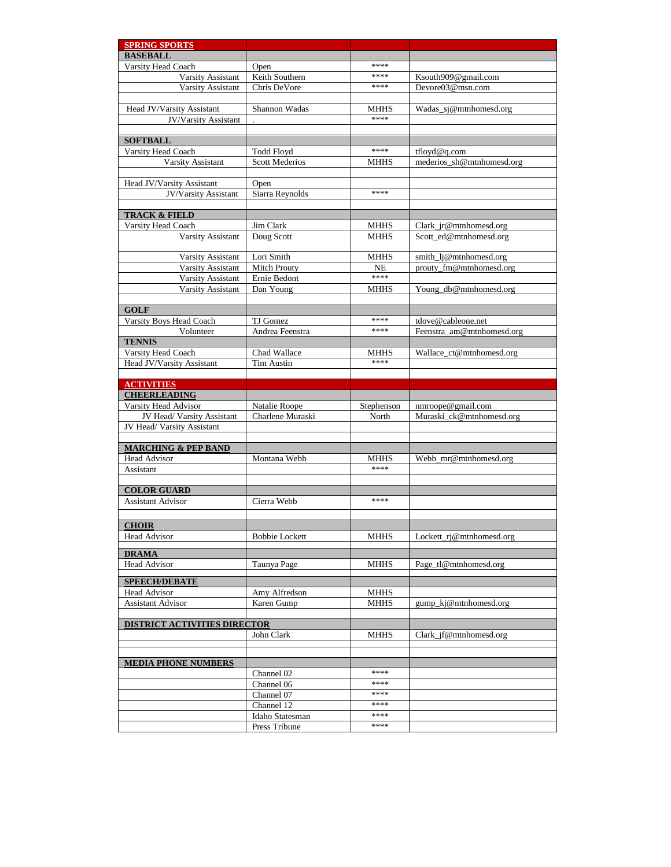| <b>SPRING SPORTS</b>                   |                                   |                   |                            |  |
|----------------------------------------|-----------------------------------|-------------------|----------------------------|--|
| <b>BASEBALL</b>                        |                                   |                   |                            |  |
| Varsity Head Coach                     | Open                              | ****              |                            |  |
| Varsity Assistant                      | Keith Southern                    | ****              | Ksouth909@gmail.com        |  |
| <b>Varsity Assistant</b>               | Chris DeVore                      | ****              | Devore03@msn.com           |  |
|                                        |                                   |                   |                            |  |
| Head JV/Varsity Assistant              | Shannon Wadas                     | MHHS<br>****      | Wadas_sj@mtnhomesd.org     |  |
| JV/Varsity Assistant                   |                                   |                   |                            |  |
| <b>SOFTBALL</b>                        |                                   |                   |                            |  |
| Varsity Head Coach                     | <b>Todd Floyd</b>                 | ****              | tfloyd@q.com               |  |
| Varsity Assistant                      | <b>Scott Mederios</b>             | <b>MHHS</b>       | mederios_sh@mtnhomesd.org  |  |
|                                        |                                   |                   |                            |  |
| Head JV/Varsity Assistant              | Open                              |                   |                            |  |
| JV/Varsity Assistant                   | Siarra Reynolds                   | ****              |                            |  |
|                                        |                                   |                   |                            |  |
| <b>TRACK &amp; FIELD</b>               |                                   |                   |                            |  |
| Varsity Head Coach                     | Jim Clark                         | <b>MHHS</b>       | Clark_jr@mtnhomesd.org     |  |
| <b>Varsity Assistant</b>               | Doug Scott                        | <b>MHHS</b>       | Scott_ed@mtnhomesd.org     |  |
|                                        |                                   |                   |                            |  |
| Varsity Assistant                      | Lori Smith<br><b>Mitch Prouty</b> | <b>MHHS</b>       | smith_lj@mtnhomesd.org     |  |
| Varsity Assistant                      | Ernie Bedont                      | <b>NE</b><br>**** | prouty_fm@mtnhomesd.org    |  |
| Varsity Assistant<br>Varsity Assistant | Dan Young                         | <b>MHHS</b>       |                            |  |
|                                        |                                   |                   | Young_db@mtnhomesd.org     |  |
| <b>GOLF</b>                            |                                   |                   |                            |  |
| Varsity Boys Head Coach                | TJ Gomez                          | ****              | tdove@cableone.net         |  |
| Volunteer                              | Andrea Feenstra                   | ****              | Feenstra am@mtnhomesd.org  |  |
| <b>TENNIS</b>                          |                                   |                   |                            |  |
| Varsity Head Coach                     | Chad Wallace                      | <b>MHHS</b>       | Wallace_ct@mtnhomesd.org   |  |
| Head JV/Varsity Assistant              | <b>Tim Austin</b>                 | ****              |                            |  |
|                                        |                                   |                   |                            |  |
| <b>ACTIVITIES</b>                      |                                   |                   |                            |  |
|                                        |                                   |                   |                            |  |
| <b>CHEERLEADING</b>                    |                                   |                   |                            |  |
| Varsity Head Advisor                   | Natalie Roope                     | Stephenson        | nmroope@gmail.com          |  |
| JV Head/ Varsity Assistant             | Charlene Muraski                  | North             | Muraski_ck@mtnhomesd.org   |  |
| JV Head/ Varsity Assistant             |                                   |                   |                            |  |
|                                        |                                   |                   |                            |  |
| <b>MARCHING &amp; PEP BAND</b>         |                                   |                   |                            |  |
| Head Advisor<br>Assistant              | Montana Webb                      | MHHS<br>****      | Webb_mr@mtnhomesd.org      |  |
|                                        |                                   |                   |                            |  |
| <b>COLOR GUARD</b>                     |                                   |                   |                            |  |
| <b>Assistant Advisor</b>               | Cierra Webb                       | ****              |                            |  |
|                                        |                                   |                   |                            |  |
| <b>CHOIR</b>                           |                                   |                   |                            |  |
| <b>Head Advisor</b>                    | <b>Bobbie Lockett</b>             | <b>MHHS</b>       | $Lockett\_ri@mthomesd.org$ |  |
|                                        |                                   |                   |                            |  |
| <b>DRAMA</b>                           |                                   |                   |                            |  |
| <b>Head Advisor</b>                    | Taunya Page                       | <b>MHHS</b>       | Page_tl@mtnhomesd.org      |  |
| <b>SPEECH/DEBATE</b>                   |                                   |                   |                            |  |
| <b>Head Advisor</b>                    | Amy Alfredson                     | <b>MHHS</b>       |                            |  |
| <b>Assistant Advisor</b>               | Karen Gump                        | <b>MHHS</b>       | gump_kj@mtnhomesd.org      |  |
|                                        |                                   |                   |                            |  |
| <b>DISTRICT ACTIVITIES DIRECTOR</b>    |                                   |                   |                            |  |
|                                        | John Clark                        | <b>MHHS</b>       | Clark_jf@mtnhomesd.org     |  |
|                                        |                                   |                   |                            |  |
| <b>MEDIA PHONE NUMBERS</b>             |                                   |                   |                            |  |
|                                        | Channel 02                        | ****              |                            |  |
|                                        | Channel 06                        | ****              |                            |  |
|                                        | Channel 07                        | ****              |                            |  |
|                                        | Channel 12                        | ****              |                            |  |
|                                        | Idaho Statesman<br>Press Tribune  | ****<br>****      |                            |  |